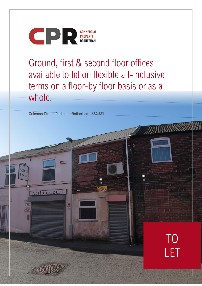

Ground, first & second floor offices available to let on flexible all-inclusive terms on a floor-by floor basis or as a whole.

TO

LET

Coleman Street, Parkgate, Rotherham, S62 6EL.

**Our** 

**Action Court**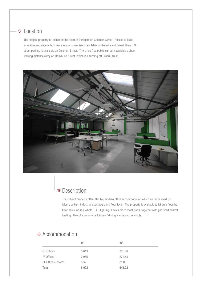#### **v** Location

The subject property is located in the heart of Parkgate on Coleman Street. Access to local amenities and several bus services are conveniently available on the adjacent Broad Street. On street parking is available on Coleman Street. There is a free public car park available a short walking distance away on Hollybush Street, which is a turning off Broad Street.



## **B** Description

The subject property offers flexible modern office accommodation which could be used for leisure or light industrial uses at ground floor level. The property is available to let on a floor-byfloor basis, or as a whole. LED lighting is available to most parts, together with gas-fired central heating. Use of a communal kitchen / dining area is also available.

|                     | ft <sup>2</sup> | m <sup>2</sup> |
|---------------------|-----------------|----------------|
| <b>GF Offices</b>   | 3,613           | 335.66         |
| FF Offices          | 2,955           | 274.53         |
| SF Offices / stores | 334             | 31.03          |
| Total               | 6,902           | 641.22         |
|                     |                 |                |

### $\triangle$  Accommodation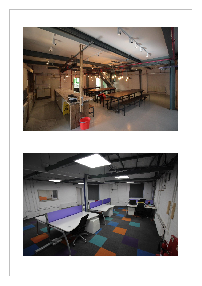